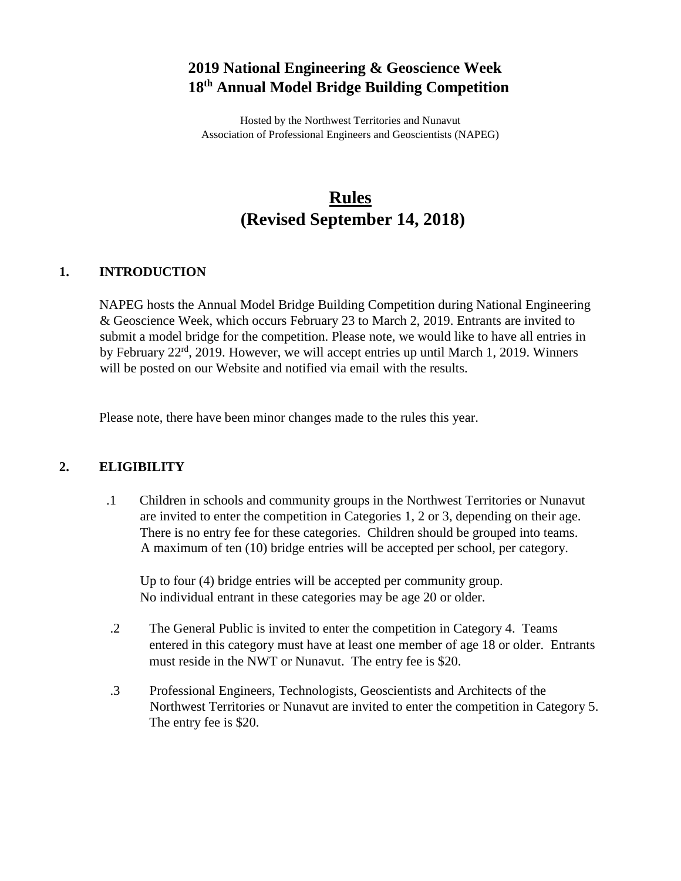## **2019 National Engineering & Geoscience Week 18th Annual Model Bridge Building Competition**

Hosted by the Northwest Territories and Nunavut Association of Professional Engineers and Geoscientists (NAPEG)

# **Rules (Revised September 14, 2018)**

#### **1. INTRODUCTION**

NAPEG hosts the Annual Model Bridge Building Competition during National Engineering & Geoscience Week, which occurs February 23 to March 2, 2019. Entrants are invited to submit a model bridge for the competition. Please note, we would like to have all entries in by February 22<sup>rd</sup>, 2019. However, we will accept entries up until March 1, 2019. Winners will be posted on our Website and notified via email with the results.

Please note, there have been minor changes made to the rules this year.

#### **2. ELIGIBILITY**

.1 Children in schools and community groups in the Northwest Territories or Nunavut are invited to enter the competition in Categories 1, 2 or 3, depending on their age. There is no entry fee for these categories. Children should be grouped into teams. A maximum of ten (10) bridge entries will be accepted per school, per category.

Up to four (4) bridge entries will be accepted per community group. No individual entrant in these categories may be age 20 or older.

- .2 The General Public is invited to enter the competition in Category 4. Teams entered in this category must have at least one member of age 18 or older. Entrants must reside in the NWT or Nunavut. The entry fee is \$20.
- .3 Professional Engineers, Technologists, Geoscientists and Architects of the Northwest Territories or Nunavut are invited to enter the competition in Category 5. The entry fee is \$20.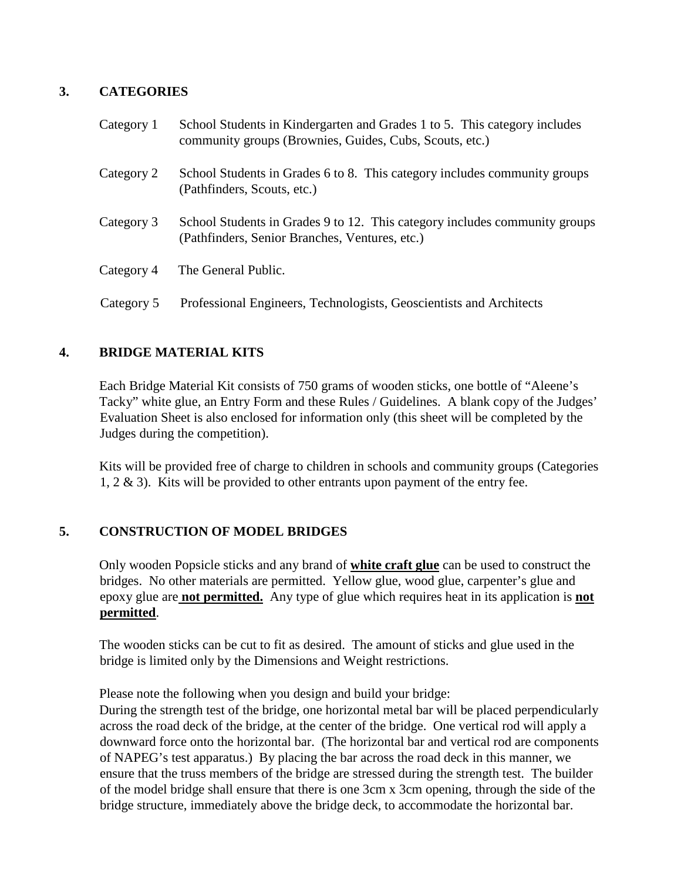## **3. CATEGORIES**

| Category 1 | School Students in Kindergarten and Grades 1 to 5. This category includes<br>community groups (Brownies, Guides, Cubs, Scouts, etc.) |
|------------|--------------------------------------------------------------------------------------------------------------------------------------|
| Category 2 | School Students in Grades 6 to 8. This category includes community groups<br>(Pathfinders, Scouts, etc.)                             |
| Category 3 | School Students in Grades 9 to 12. This category includes community groups<br>(Pathfinders, Senior Branches, Ventures, etc.)         |
| Category 4 | The General Public.                                                                                                                  |
| Category 5 | Professional Engineers, Technologists, Geoscientists and Architects                                                                  |

## **4. BRIDGE MATERIAL KITS**

Each Bridge Material Kit consists of 750 grams of wooden sticks, one bottle of "Aleene's Tacky" white glue, an Entry Form and these Rules / Guidelines. A blank copy of the Judges' Evaluation Sheet is also enclosed for information only (this sheet will be completed by the Judges during the competition).

Kits will be provided free of charge to children in schools and community groups (Categories 1,  $2 \& 3$ ). Kits will be provided to other entrants upon payment of the entry fee.

## **5. CONSTRUCTION OF MODEL BRIDGES**

Only wooden Popsicle sticks and any brand of **white craft glue** can be used to construct the bridges. No other materials are permitted. Yellow glue, wood glue, carpenter's glue and epoxy glue are **not permitted.** Any type of glue which requires heat in its application is **not permitted**.

The wooden sticks can be cut to fit as desired. The amount of sticks and glue used in the bridge is limited only by the Dimensions and Weight restrictions.

Please note the following when you design and build your bridge:

During the strength test of the bridge, one horizontal metal bar will be placed perpendicularly across the road deck of the bridge, at the center of the bridge. One vertical rod will apply a downward force onto the horizontal bar. (The horizontal bar and vertical rod are components of NAPEG's test apparatus.) By placing the bar across the road deck in this manner, we ensure that the truss members of the bridge are stressed during the strength test. The builder of the model bridge shall ensure that there is one 3cm x 3cm opening, through the side of the bridge structure, immediately above the bridge deck, to accommodate the horizontal bar.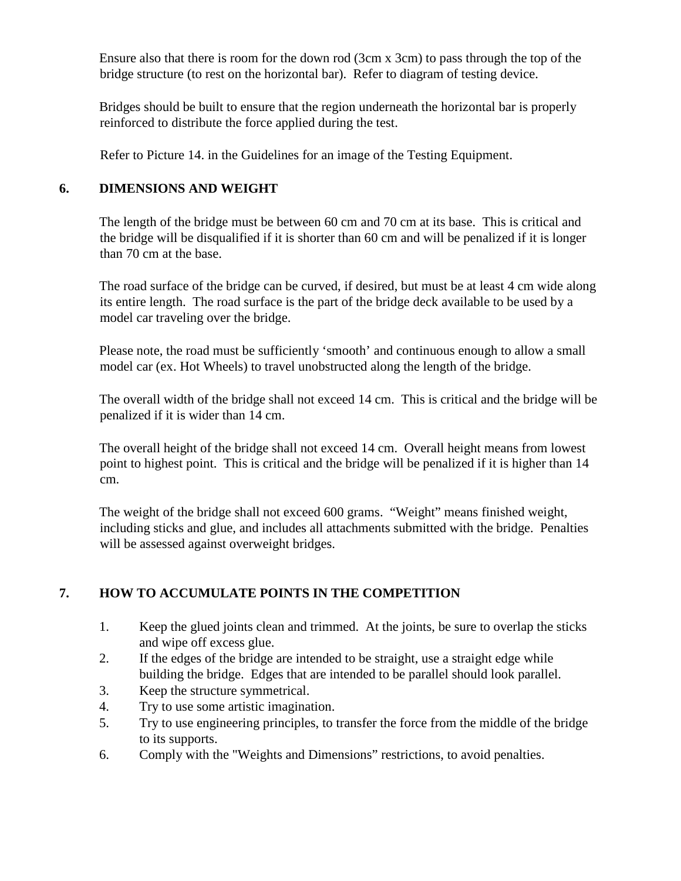Ensure also that there is room for the down rod (3cm x 3cm) to pass through the top of the bridge structure (to rest on the horizontal bar). Refer to diagram of testing device.

Bridges should be built to ensure that the region underneath the horizontal bar is properly reinforced to distribute the force applied during the test.

Refer to Picture 14. in the Guidelines for an image of the Testing Equipment.

#### **6. DIMENSIONS AND WEIGHT**

The length of the bridge must be between 60 cm and 70 cm at its base. This is critical and the bridge will be disqualified if it is shorter than 60 cm and will be penalized if it is longer than 70 cm at the base.

The road surface of the bridge can be curved, if desired, but must be at least 4 cm wide along its entire length. The road surface is the part of the bridge deck available to be used by a model car traveling over the bridge.

Please note, the road must be sufficiently 'smooth' and continuous enough to allow a small model car (ex. Hot Wheels) to travel unobstructed along the length of the bridge.

The overall width of the bridge shall not exceed 14 cm. This is critical and the bridge will be penalized if it is wider than 14 cm.

The overall height of the bridge shall not exceed 14 cm. Overall height means from lowest point to highest point. This is critical and the bridge will be penalized if it is higher than 14 cm.

The weight of the bridge shall not exceed 600 grams. "Weight" means finished weight, including sticks and glue, and includes all attachments submitted with the bridge. Penalties will be assessed against overweight bridges.

## **7. HOW TO ACCUMULATE POINTS IN THE COMPETITION**

- 1. Keep the glued joints clean and trimmed. At the joints, be sure to overlap the sticks and wipe off excess glue.
- 2. If the edges of the bridge are intended to be straight, use a straight edge while building the bridge. Edges that are intended to be parallel should look parallel.
- 3. Keep the structure symmetrical.
- 4. Try to use some artistic imagination.
- 5. Try to use engineering principles, to transfer the force from the middle of the bridge to its supports.
- 6. Comply with the "Weights and Dimensions" restrictions, to avoid penalties.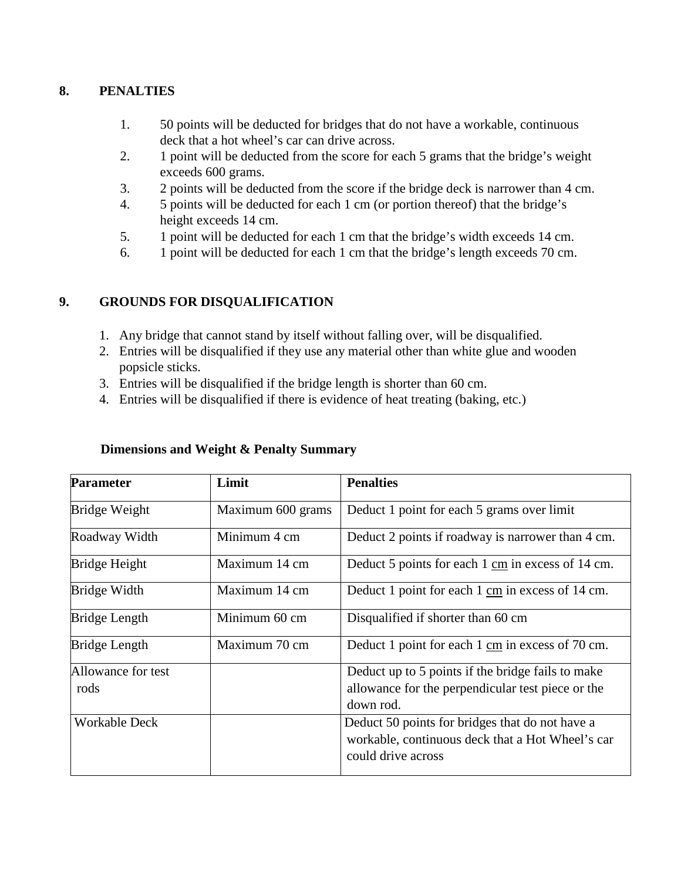#### **8. PENALTIES**

- 1. 50 points will be deducted for bridges that do not have a workable, continuous deck that a hot wheel's car can drive across.
- 2. 1 point will be deducted from the score for each 5 grams that the bridge's weight exceeds 600 grams.
- 3. 2 points will be deducted from the score if the bridge deck is narrower than 4 cm.
- 4. 5 points will be deducted for each 1 cm (or portion thereof) that the bridge's height exceeds 14 cm.
- 5. 1 point will be deducted for each 1 cm that the bridge's width exceeds 14 cm.
- 6. 1 point will be deducted for each 1 cm that the bridge's length exceeds 70 cm.

#### **9. GROUNDS FOR DISQUALIFICATION**

- 1. Any bridge that cannot stand by itself without falling over, will be disqualified.
- 2. Entries will be disqualified if they use any material other than white glue and wooden popsicle sticks.
- 3. Entries will be disqualified if the bridge length is shorter than 60 cm.
- 4. Entries will be disqualified if there is evidence of heat treating (baking, etc.)

| Dimensions and Weight & Penalty Summary |  |  |  |
|-----------------------------------------|--|--|--|
|-----------------------------------------|--|--|--|

| <b>Parameter</b>     | Limit             | <b>Penalties</b>                                  |  |
|----------------------|-------------------|---------------------------------------------------|--|
| Bridge Weight        | Maximum 600 grams | Deduct 1 point for each 5 grams over limit        |  |
| Roadway Width        | Minimum 4 cm      | Deduct 2 points if roadway is narrower than 4 cm. |  |
| Bridge Height        | Maximum 14 cm     | Deduct 5 points for each 1 cm in excess of 14 cm. |  |
| Bridge Width         | Maximum 14 cm     | Deduct 1 point for each 1 cm in excess of 14 cm.  |  |
| <b>Bridge Length</b> | Minimum 60 cm     | Disqualified if shorter than 60 cm                |  |
| <b>Bridge Length</b> | Maximum 70 cm     | Deduct 1 point for each 1 cm in excess of 70 cm.  |  |
| Allowance for test   |                   | Deduct up to 5 points if the bridge fails to make |  |
| rods                 |                   | allowance for the perpendicular test piece or the |  |
|                      |                   | down rod.                                         |  |
| <b>Workable Deck</b> |                   | Deduct 50 points for bridges that do not have a   |  |
|                      |                   | workable, continuous deck that a Hot Wheel's car  |  |
|                      |                   | could drive across                                |  |
|                      |                   |                                                   |  |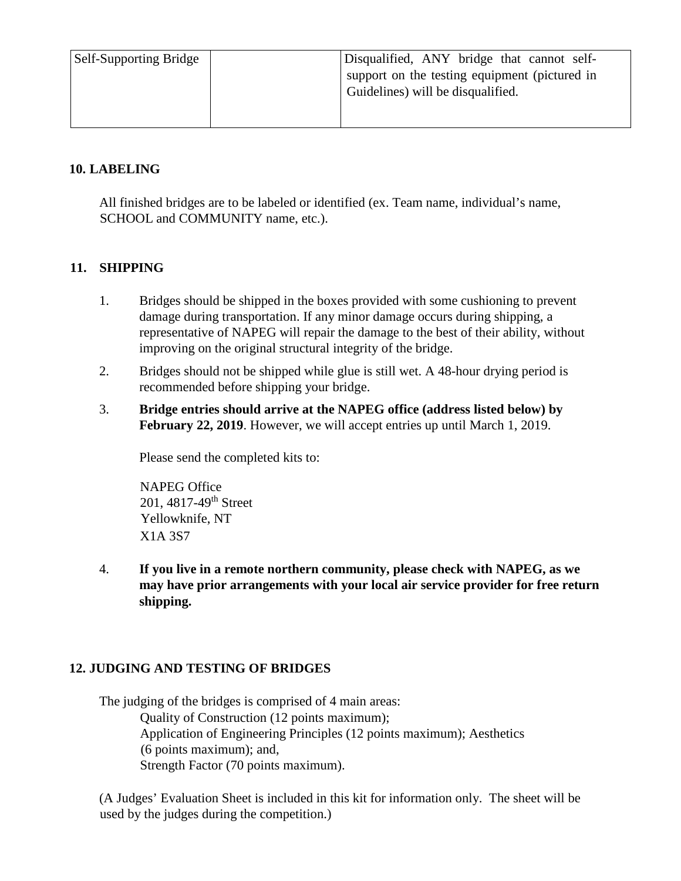| <b>Self-Supporting Bridge</b> | Disqualified, ANY bridge that cannot self-    |
|-------------------------------|-----------------------------------------------|
|                               | support on the testing equipment (pictured in |
|                               | Guidelines) will be disqualified.             |
|                               |                                               |
|                               |                                               |

#### **10. LABELING**

All finished bridges are to be labeled or identified (ex. Team name, individual's name, SCHOOL and COMMUNITY name, etc.).

## **11. SHIPPING**

- 1. Bridges should be shipped in the boxes provided with some cushioning to prevent damage during transportation. If any minor damage occurs during shipping, a representative of NAPEG will repair the damage to the best of their ability, without improving on the original structural integrity of the bridge.
- 2. Bridges should not be shipped while glue is still wet. A 48-hour drying period is recommended before shipping your bridge.
- 3. **Bridge entries should arrive at the NAPEG office (address listed below) by February 22, 2019**. However, we will accept entries up until March 1, 2019.

Please send the completed kits to:

NAPEG Office 201, 4817-49th Street Yellowknife, NT X1A 3S7

4. **If you live in a remote northern community, please check with NAPEG, as we may have prior arrangements with your local air service provider for free return shipping.**

## **12. JUDGING AND TESTING OF BRIDGES**

The judging of the bridges is comprised of 4 main areas: Quality of Construction (12 points maximum); Application of Engineering Principles (12 points maximum); Aesthetics (6 points maximum); and, Strength Factor (70 points maximum).

(A Judges' Evaluation Sheet is included in this kit for information only. The sheet will be used by the judges during the competition.)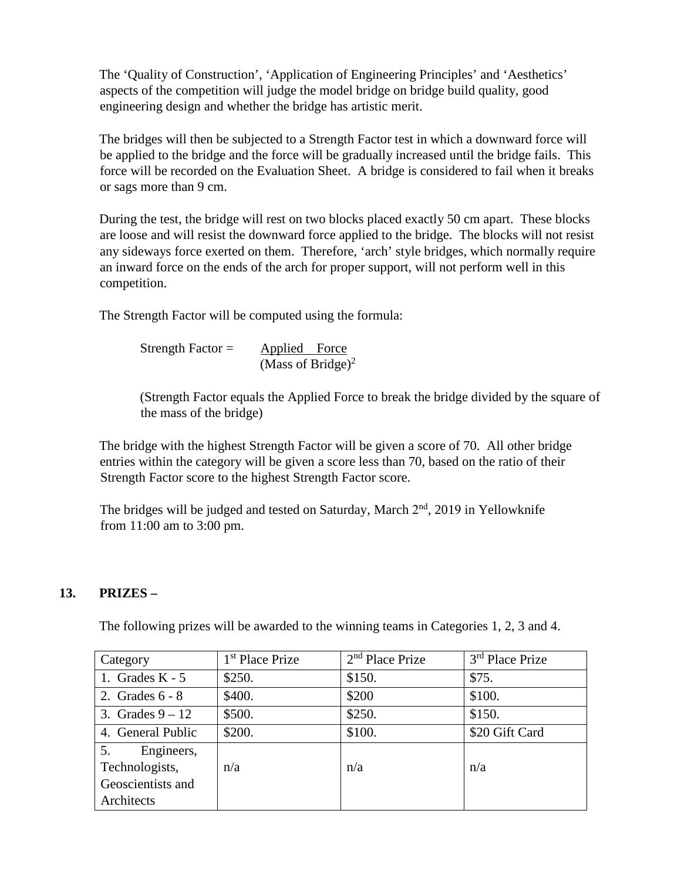The 'Quality of Construction', 'Application of Engineering Principles' and 'Aesthetics' aspects of the competition will judge the model bridge on bridge build quality, good engineering design and whether the bridge has artistic merit.

The bridges will then be subjected to a Strength Factor test in which a downward force will be applied to the bridge and the force will be gradually increased until the bridge fails. This force will be recorded on the Evaluation Sheet. A bridge is considered to fail when it breaks or sags more than 9 cm.

During the test, the bridge will rest on two blocks placed exactly 50 cm apart. These blocks are loose and will resist the downward force applied to the bridge. The blocks will not resist any sideways force exerted on them. Therefore, 'arch' style bridges, which normally require an inward force on the ends of the arch for proper support, will not perform well in this competition.

The Strength Factor will be computed using the formula:

Strength Factor =  $\Delta$ pplied Force (Mass of Bridge) $2$ 

(Strength Factor equals the Applied Force to break the bridge divided by the square of the mass of the bridge)

The bridge with the highest Strength Factor will be given a score of 70. All other bridge entries within the category will be given a score less than 70, based on the ratio of their Strength Factor score to the highest Strength Factor score.

The bridges will be judged and tested on Saturday, March  $2<sup>nd</sup>$ , 2019 in Yellowknife from 11:00 am to 3:00 pm.

## **13. PRIZES –**

The following prizes will be awarded to the winning teams in Categories 1, 2, 3 and 4.

| Category                                                              | 1 <sup>st</sup> Place Prize | $2nd$ Place Prize | 3 <sup>rd</sup> Place Prize |
|-----------------------------------------------------------------------|-----------------------------|-------------------|-----------------------------|
| 1. Grades $K - 5$                                                     | \$250.                      | \$150.            | \$75.                       |
| 2. Grades $6 - 8$                                                     | \$400.                      | \$200             | \$100.                      |
| 3. Grades $9-12$                                                      | \$500.                      | \$250.            | \$150.                      |
| 4. General Public                                                     | \$200.                      | \$100.            | \$20 Gift Card              |
| 5.<br>Engineers,<br>Technologists,<br>Geoscientists and<br>Architects | n/a                         | n/a               | n/a                         |